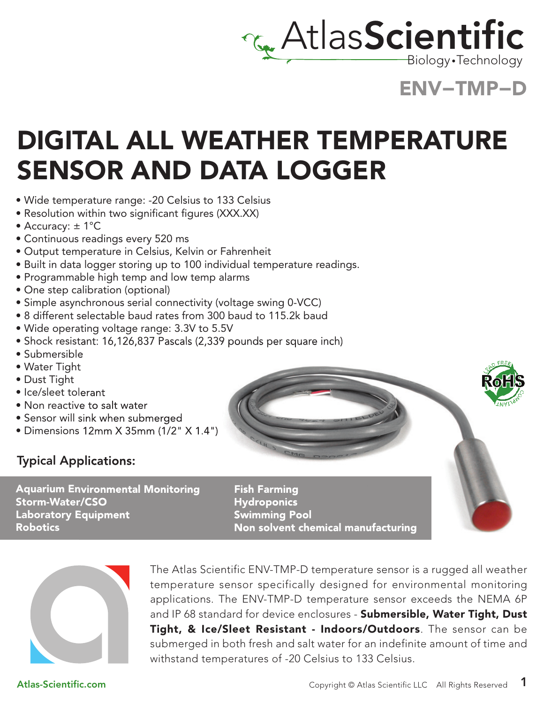

Biology •Technology

### ENV−TMP−D

### DIGITAL ALL WEATHER TEMPERATURE SENSOR AND DATA LOGGER

- Wide temperature range: -20 Celsius to 133 Celsius
- Resolution within two significant figures (XXX.XX)
- Accuracy: ± 1°C
- Continuous readings every 520 ms
- Output temperature in Celsius, Kelvin or Fahrenheit
- Built in data logger storing up to 100 individual temperature readings.
- Programmable high temp and low temp alarms
- One step calibration (optional)
- Simple asynchronous serial connectivity (voltage swing 0-VCC)
- 8 different selectable baud rates from 300 baud to 115.2k baud
- Wide operating voltage range: 3.3V to 5.5V
- Shock resistant: 16,126,837 Pascals (2,339 pounds per square inch)
- Submersible
- Water Tight
- Dust Tight
- Ice/sleet tolerant
- Non reactive to salt water
- Sensor will sink when submerged
- Dimensions 12mm X 35mm (1/2" X 1.4")

### Typical Applications:

Aquarium Environmental Monitoring Storm-Water/CSO Laboratory Equipment Robotics

Fish Farming Hydroponics Swimming Pool Non solvent chemical manufacturing



The Atlas Scientific ENV-TMP-D temperature sensor is a rugged all weather temperature sensor specifically designed for environmental monitoring applications. The ENV-TMP-D temperature sensor exceeds the NEMA 6P and IP 68 standard for device enclosures - Submersible, Water Tight, Dust Tight, & Ice/Sleet Resistant - Indoors/Outdoors. The sensor can be submerged in both fresh and salt water for an indefinite amount of time and withstand temperatures of -20 Celsius to 133 Celsius.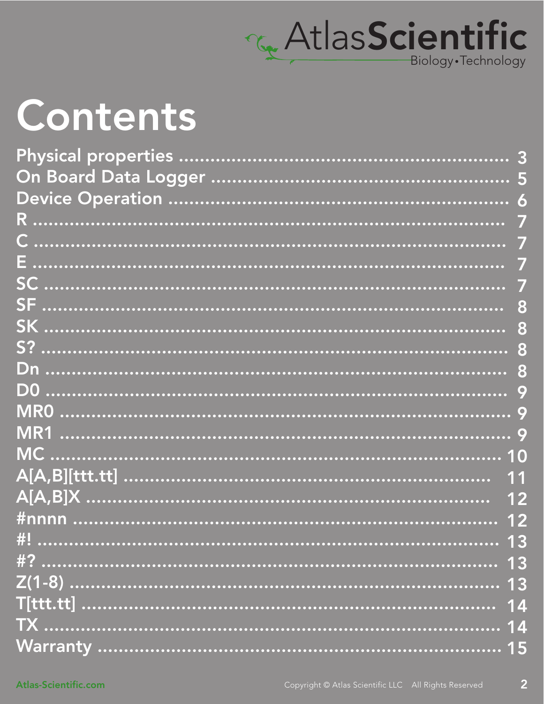

# Contents

| <u>#nnnn …………………………………………………………………………… 12</u> |    |
|-----------------------------------------------|----|
| $\#$                                          |    |
|                                               | 13 |
|                                               | 13 |
|                                               |    |
|                                               |    |
|                                               |    |

 $\overline{2}$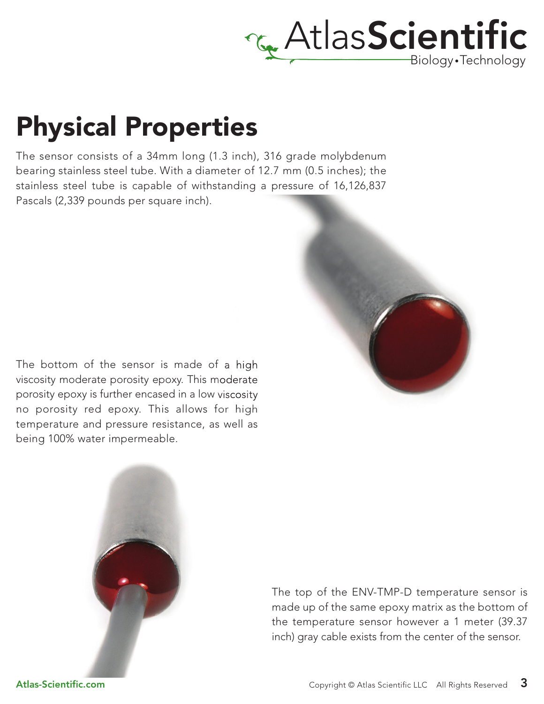

### Physical Properties

The sensor consists of a 34mm long (1.3 inch), 316 grade molybdenum bearing stainless steel tube. With a diameter of 12.7 mm (0.5 inches); the stainless steel tube is capable of withstanding a pressure of 16,126,837 Pascals (2,339 pounds per square inch).



The bottom of the sensor is made of a high viscosity moderate porosity epoxy. This moderate porosity epoxy is further encased in a low viscosity no porosity red epoxy. This allows for high temperature and pressure resistance, as well as being 100% water impermeable.



The top of the ENV-TMP-D temperature sensor is made up of the same epoxy matrix as the bottom of the temperature sensor however a 1 meter (39.37 inch) gray cable exists from the center of the sensor.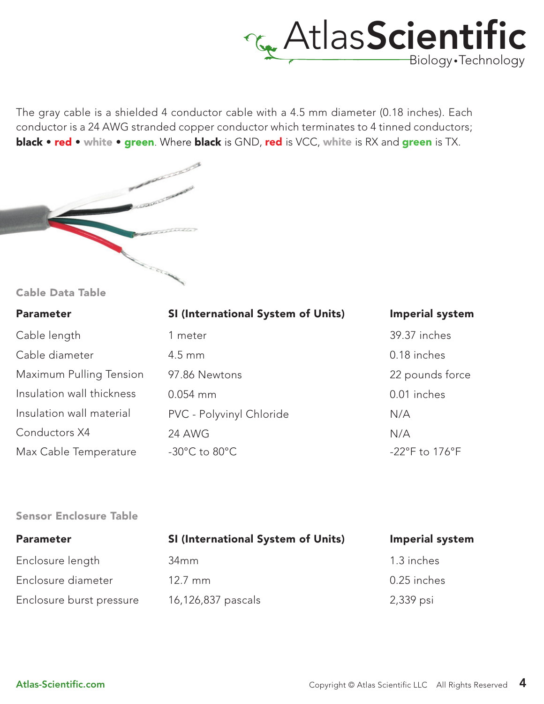

The gray cable is a shielded 4 conductor cable with a 4.5 mm diameter (0.18 inches). Each conductor is a 24 AWG stranded copper conductor which terminates to 4 tinned conductors; **black • red •** white • green. Where **black** is GND, red is VCC, white is RX and green is TX.



#### Cable Data Table

| <b>Parameter</b>          | SI (International System of Units) | <b>Imperial system</b> |
|---------------------------|------------------------------------|------------------------|
| Cable length              | 1 meter                            | 39.37 inches           |
| Cable diameter            | $4.5 \text{ mm}$                   | 0.18 inches            |
| Maximum Pulling Tension   | 97.86 Newtons                      | 22 pounds force        |
| Insulation wall thickness | $0.054$ mm                         | 0.01 inches            |
| Insulation wall material  | PVC - Polyvinyl Chloride           | N/A                    |
| Conductors X4             | <b>24 AWG</b>                      | N/A                    |
| Max Cable Temperature     | $-30^{\circ}$ C to $80^{\circ}$ C  | -22°F to 176°F         |

#### Sensor Enclosure Table

| <b>Parameter</b>         | <b>SI (International System of Units)</b> | <b>Imperial system</b> |
|--------------------------|-------------------------------------------|------------------------|
| Enclosure length         | 34 <sub>mm</sub>                          | 1.3 inches             |
| Enclosure diameter       | $12.7 \text{ mm}$                         | 0.25 inches            |
| Enclosure burst pressure | 16,126,837 pascals                        | 2,339 psi              |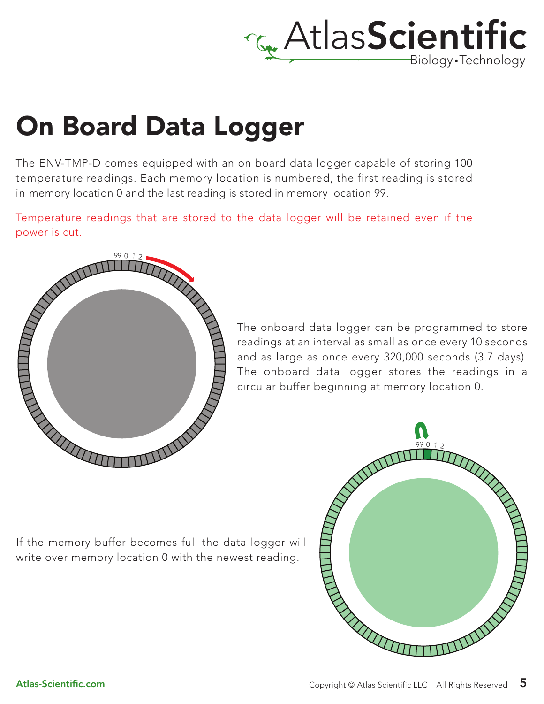

## On Board Data Logger

The ENV-TMP-D comes equipped with an on board data logger capable of storing 100 temperature readings. Each memory location is numbered, the first reading is stored in memory location 0 and the last reading is stored in memory location 99.

Temperature readings that are stored to the data logger will be retained even if the power is cut.



The onboard data logger can be programmed to store readings at an interval as small as once every 10 seconds and as large as once every 320,000 seconds (3.7 days). The onboard data logger stores the readings in a circular buffer beginning at memory location 0.

If the memory buffer becomes full the data logger will write over memory location 0 with the newest reading.

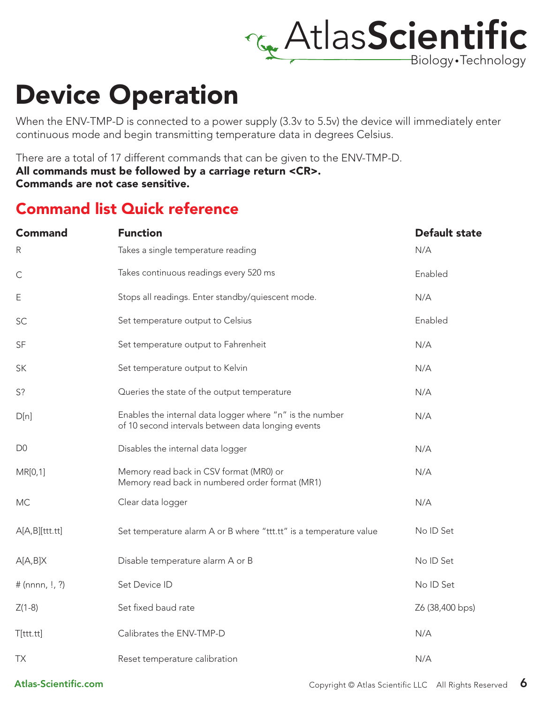

### Device Operation

When the ENV-TMP-D is connected to a power supply (3.3v to 5.5v) the device will immediately enter continuous mode and begin transmitting temperature data in degrees Celsius.

There are a total of 17 different commands that can be given to the ENV-TMP-D.

All commands must be followed by a carriage return <CR>.

Commands are not case sensitive.

### Command list Quick reference

| <b>Command</b>    | <b>Function</b>                                                                                                | <b>Default state</b> |
|-------------------|----------------------------------------------------------------------------------------------------------------|----------------------|
| $\mathsf{R}$      | Takes a single temperature reading                                                                             | N/A                  |
| $\mathsf{C}$      | Takes continuous readings every 520 ms                                                                         | Enabled              |
| Ε                 | Stops all readings. Enter standby/quiescent mode.                                                              | N/A                  |
| SC                | Set temperature output to Celsius                                                                              | Enabled              |
| <b>SF</b>         | Set temperature output to Fahrenheit                                                                           | N/A                  |
| SK                | Set temperature output to Kelvin                                                                               | N/A                  |
| S?                | Queries the state of the output temperature                                                                    | N/A                  |
| D[n]              | Enables the internal data logger where "n" is the number<br>of 10 second intervals between data longing events | N/A                  |
| D <sub>0</sub>    | Disables the internal data logger                                                                              | N/A                  |
| MR[0,1]           | Memory read back in CSV format (MR0) or<br>Memory read back in numbered order format (MR1)                     | N/A                  |
| <b>MC</b>         | Clear data logger                                                                                              | N/A                  |
| A[A,B][ttt.txt]   | Set temperature alarm A or B where "ttt.tt" is a temperature value                                             | No ID Set            |
| A[A,B]X           | Disable temperature alarm A or B                                                                               | No ID Set            |
| # (nnnn, $!, ?$ ) | Set Device ID                                                                                                  | No ID Set            |
| $Z(1-8)$          | Set fixed baud rate                                                                                            | Z6 (38,400 bps)      |
| T[ttt.tt]         | Calibrates the ENV-TMP-D                                                                                       | N/A                  |
| TX                | Reset temperature calibration                                                                                  | N/A                  |

Atlas-Scientific.com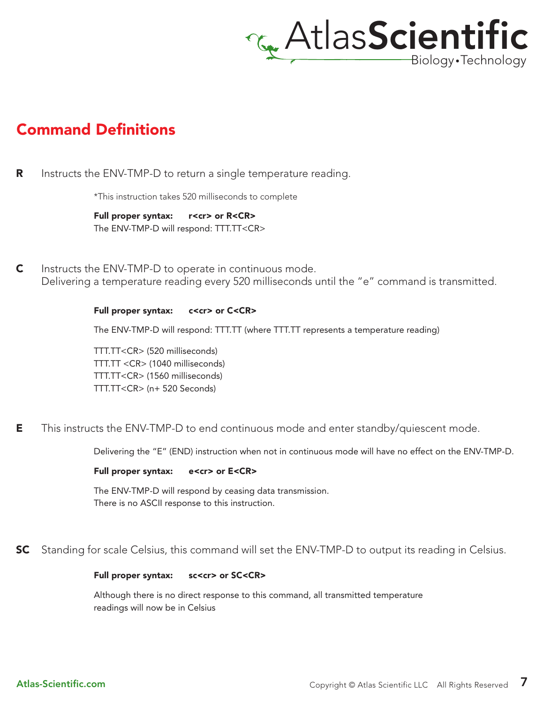

### Command Definitions

R Instructs the ENV-TMP-D to return a single temperature reading.

\*This instruction takes 520 milliseconds to complete

Full proper syntax: r<cr> or R<CR> The ENV-TMP-D will respond: TTT.TT<CR>

C Instructs the ENV-TMP-D to operate in continuous mode. Delivering a temperature reading every 520 milliseconds until the "e" command is transmitted.

#### Full proper syntax: c<cr> or C<CR>

The ENV-TMP-D will respond: TTT.TT (where TTT.TT represents a temperature reading)

TTT.TT<CR> (520 milliseconds) TTT.TT <CR> (1040 milliseconds) TTT.TT<CR> (1560 milliseconds) TTT.TT<CR> (n+ 520 Seconds)

E This instructs the ENV-TMP-D to end continuous mode and enter standby/quiescent mode.

Delivering the "E" (END) instruction when not in continuous mode will have no effect on the ENV-TMP-D.

#### Full proper syntax: e<cr> or E<CR>

The ENV-TMP-D will respond by ceasing data transmission. There is no ASCII response to this instruction.

SC Standing for scale Celsius, this command will set the ENV-TMP-D to output its reading in Celsius.

#### Full proper syntax: sc<cr> or SC<CR>

Although there is no direct response to this command, all transmitted temperature readings will now be in Celsius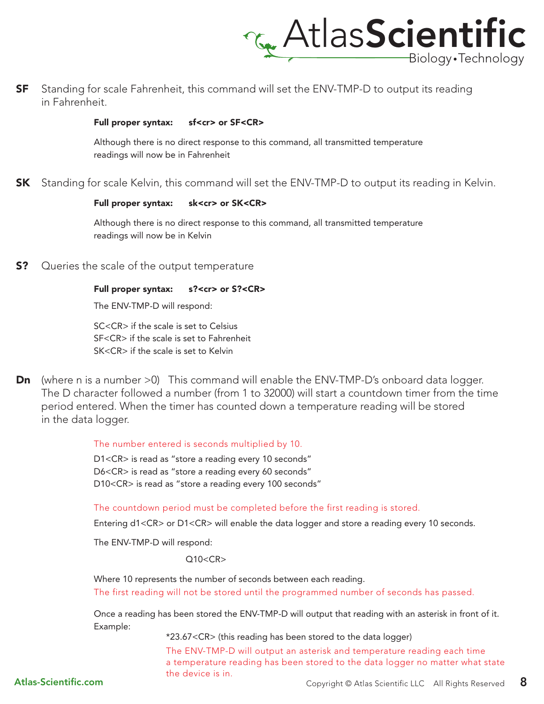

SF Standing for scale Fahrenheit, this command will set the ENV-TMP-D to output its reading in Fahrenheit.

#### Full proper syntax: sf<cr> or SF<CR>

Although there is no direct response to this command, all transmitted temperature readings will now be in Fahrenheit

**SK** Standing for scale Kelvin, this command will set the ENV-TMP-D to output its reading in Kelvin.

#### Full proper syntax: sk<cr> or SK<CR>

Although there is no direct response to this command, all transmitted temperature readings will now be in Kelvin

S? Queries the scale of the output temperature

#### Full proper syntax: s?<cr> or S?<CR>

The ENV-TMP-D will respond:

SC<CR> if the scale is set to Celsius SF<CR> if the scale is set to Fahrenheit SK<CR> if the scale is set to Kelvin

**Dn** (where n is a number >0) This command will enable the ENV-TMP-D's onboard data logger. The D character followed a number (from 1 to 32000) will start a countdown timer from the time period entered. When the timer has counted down a temperature reading will be stored in the data logger.

The number entered is seconds multiplied by 10.

D1<CR> is read as "store a reading every 10 seconds" D6<CR> is read as "store a reading every 60 seconds" D10<CR> is read as "store a reading every 100 seconds"

The countdown period must be completed before the first reading is stored.

Entering d1<CR> or D1<CR> will enable the data logger and store a reading every 10 seconds.

The ENV-TMP-D will respond:

#### $Q10 < CR$

Where 10 represents the number of seconds between each reading.

The first reading will not be stored until the programmed number of seconds has passed.

Once a reading has been stored the ENV-TMP-D will output that reading with an asterisk in front of it. Example:

\*23.67<CR> (this reading has been stored to the data logger)

The ENV-TMP-D will output an asterisk and temperature reading each time a temperature reading has been stored to the data logger no matter what state the device is in.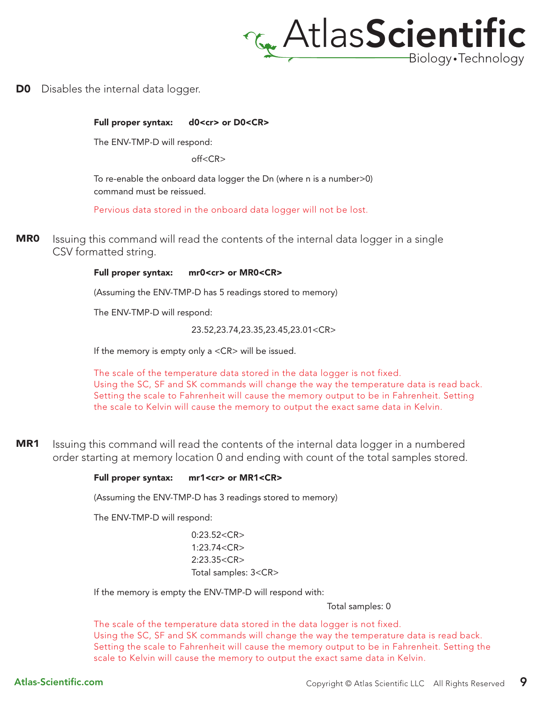

**D0** Disables the internal data logger.

Full proper syntax: d0<cr> or D0<CR>

The ENV-TMP-D will respond:

 $off < C$ R $>$ 

To re-enable the onboard data logger the Dn (where n is a number>0) command must be reissued.

Pervious data stored in the onboard data logger will not be lost.

MR0 Issuing this command will read the contents of the internal data logger in a single CSV formatted string.

#### Full proper syntax: mr0<cr> or MR0<CR>

(Assuming the ENV-TMP-D has 5 readings stored to memory)

The ENV-TMP-D will respond:

23.52,23.74,23.35,23.45,23.01<CR>

If the memory is empty only a <CR> will be issued.

The scale of the temperature data stored in the data logger is not fixed. Using the SC, SF and SK commands will change the way the temperature data is read back. Setting the scale to Fahrenheit will cause the memory output to be in Fahrenheit. Setting the scale to Kelvin will cause the memory to output the exact same data in Kelvin.

MR1 Issuing this command will read the contents of the internal data logger in a numbered order starting at memory location 0 and ending with count of the total samples stored.

#### Full proper syntax: mr1<cr> or MR1<CR>

(Assuming the ENV-TMP-D has 3 readings stored to memory)

The ENV-TMP-D will respond:

 $0.23.52 < C$ R $>$ 1:23.74<CR> 2:23.35<CR> Total samples: 3<CR>

If the memory is empty the ENV-TMP-D will respond with:

Total samples: 0

The scale of the temperature data stored in the data logger is not fixed. Using the SC, SF and SK commands will change the way the temperature data is read back. Setting the scale to Fahrenheit will cause the memory output to be in Fahrenheit. Setting the scale to Kelvin will cause the memory to output the exact same data in Kelvin.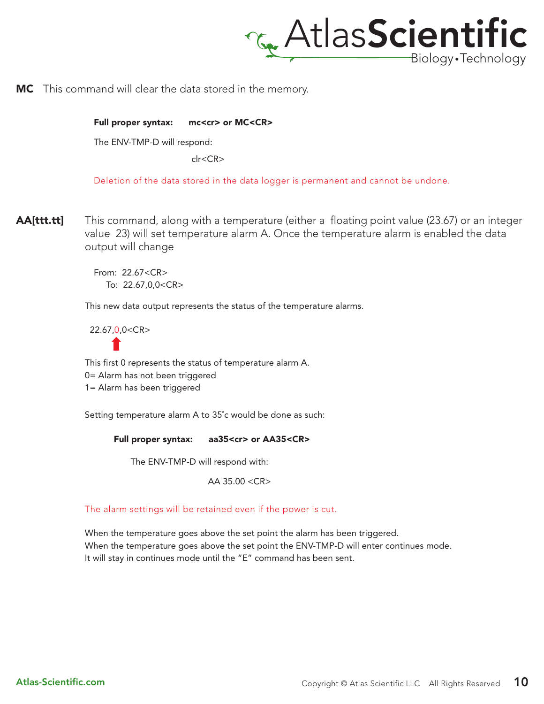

MC This command will clear the data stored in the memory.

Full proper syntax: mc<cr> or MC<CR>

The ENV-TMP-D will respond:

 $clc  $CR$$ 

Deletion of the data stored in the data logger is permanent and cannot be undone.

AA[ttt.tt] This command, along with a temperature (either a floating point value (23.67) or an integer value 23) will set temperature alarm A. Once the temperature alarm is enabled the data output will change

> From: 22.67<CR> To: 22.67,0,0<CR>

This new data output represents the status of the temperature alarms.

22.67,0,0<CR>

This first 0 represents the status of temperature alarm A.

0= Alarm has not been triggered

1= Alarm has been triggered

Setting temperature alarm A to 35˚c would be done as such:

Full proper syntax: aa35<cr> or AA35<CR>

The ENV-TMP-D will respond with:

AA 35.00 <CR>

The alarm settings will be retained even if the power is cut.

When the temperature goes above the set point the alarm has been triggered. When the temperature goes above the set point the ENV-TMP-D will enter continues mode. It will stay in continues mode until the "E" command has been sent.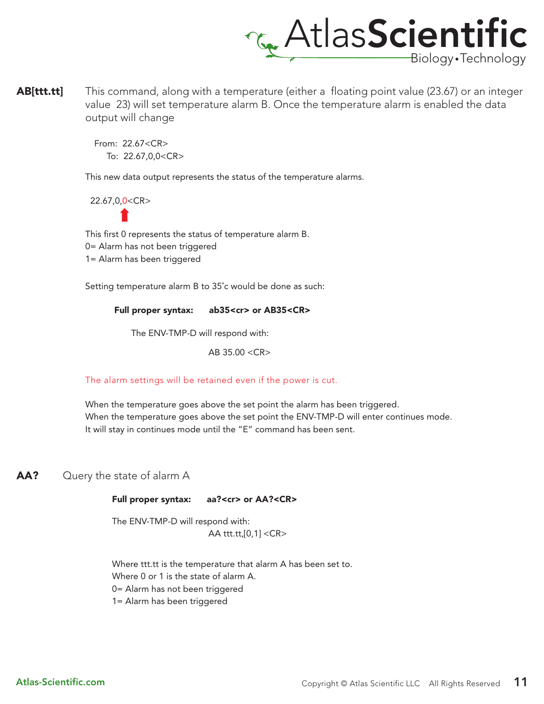

AB[ttt.tt] This command, along with a temperature (either a floating point value (23.67) or an integer value 23) will set temperature alarm B. Once the temperature alarm is enabled the data output will change

> From: 22.67<CR> To: 22.67,0,0<CR>

This new data output represents the status of the temperature alarms.

22.67,0,0<CR>

This first 0 represents the status of temperature alarm B. 0= Alarm has not been triggered 1= Alarm has been triggered

Setting temperature alarm B to 35˚c would be done as such:

Full proper syntax: ab35<cr> or AB35<CR>

The ENV-TMP-D will respond with:

AB 35.00 <CR>

The alarm settings will be retained even if the power is cut.

When the temperature goes above the set point the alarm has been triggered. When the temperature goes above the set point the ENV-TMP-D will enter continues mode. It will stay in continues mode until the "E" command has been sent.

AA? Query the state of alarm A

#### Full proper syntax: aa?<cr> or AA?<CR>

The ENV-TMP-D will respond with: AA ttt.tt,[0,1] <CR>

Where ttt.tt is the temperature that alarm A has been set to. Where 0 or 1 is the state of alarm A. 0= Alarm has not been triggered 1= Alarm has been triggered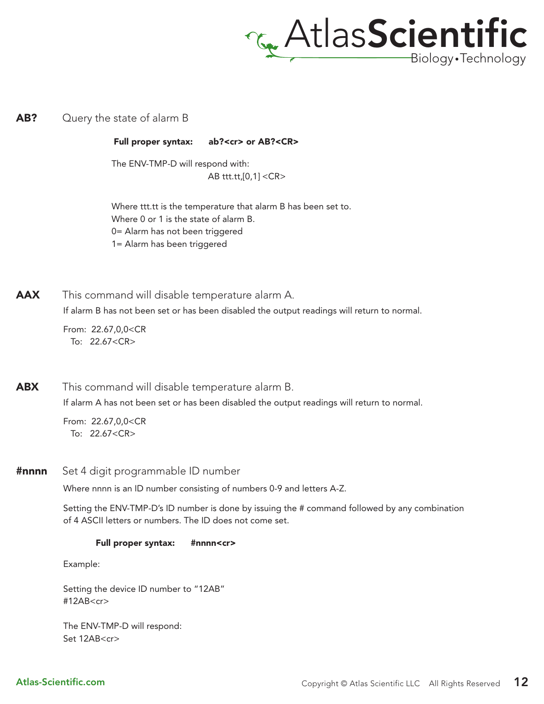

#### **AB?** Query the state of alarm B

Full proper syntax: ab?<cr> or AB?<CR>

The ENV-TMP-D will respond with: AB ttt.tt,[0,1] <CR>

Where ttt.tt is the temperature that alarm B has been set to. Where 0 or 1 is the state of alarm B. 0= Alarm has not been triggered 1= Alarm has been triggered

AAX This command will disable temperature alarm A.

If alarm B has not been set or has been disabled the output readings will return to normal.

From: 22.67,0,0<CR To: 22.67<CR>

If alarm A has not been set or has been disabled the output readings will return to normal. **ABX** This command will disable temperature alarm B.

> From: 22.67,0,0<CR To: 22.67<CR>

**#nnnn** Set 4 digit programmable ID number

Where nnnn is an ID number consisting of numbers 0-9 and letters A-Z.

Setting the ENV-TMP-D's ID number is done by issuing the # command followed by any combination of 4 ASCII letters or numbers. The ID does not come set.

#### Full proper syntax: #nnnn<cr>

Example:

Setting the device ID number to "12AB" #12AB<cr>

The ENV-TMP-D will respond: Set 12AB<cr>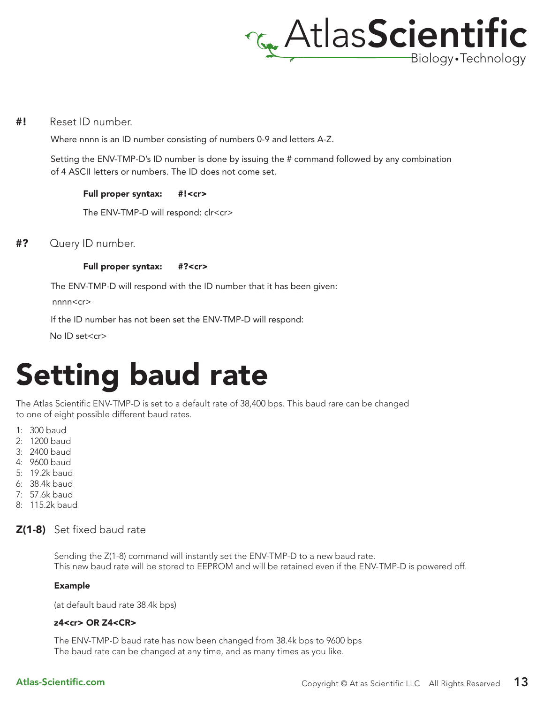

#! Reset ID number.

Where nnnn is an ID number consisting of numbers 0-9 and letters A-Z.

Setting the ENV-TMP-D's ID number is done by issuing the # command followed by any combination of 4 ASCII letters or numbers. The ID does not come set.

#### Full proper syntax: #!<cr>

The ENV-TMP-D will respond: clr<cr>

#? Query ID number.

#### Full proper syntax: #?<cr>

The ENV-TMP-D will respond with the ID number that it has been given:

nnnn<cr>

If the ID number has not been set the ENV-TMP-D will respond:

No ID set<cr>

## Setting baud rate

The Atlas Scientific ENV-TMP-D is set to a default rate of 38,400 bps. This baud rare can be changed to one of eight possible different baud rates.

- 1: 300 baud
- 2: 1200 baud
- 3: 2400 baud
- 4: 9600 baud
- 5: 19.2k baud
- 6: 38.4k baud
- 7: 57.6k baud
- 8: 115.2k baud

#### Z(1-8) Set fixed baud rate

Sending the Z(1-8) command will instantly set the ENV-TMP-D to a new baud rate. This new baud rate will be stored to EEPROM and will be retained even if the ENV-TMP-D is powered off.

#### Example

(at default baud rate 38.4k bps)

#### z4<cr> OR Z4<CR>

The ENV-TMP-D baud rate has now been changed from 38.4k bps to 9600 bps The baud rate can be changed at any time, and as many times as you like.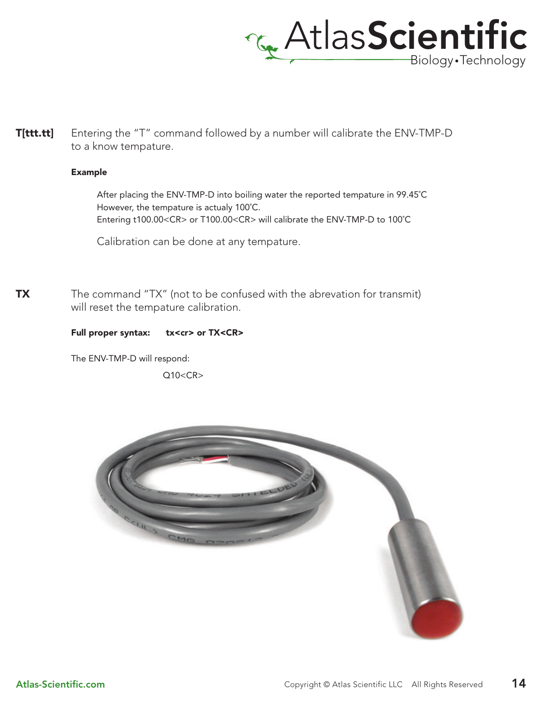

**T[ttt.tt]** Entering the "T" command followed by a number will calibrate the ENV-TMP-D to a know tempature.

#### Example

After placing the ENV-TMP-D into boiling water the reported tempature in 99.45˚C However, the tempature is actualy 100˚C. Entering t100.00<CR> or T100.00<CR> will calibrate the ENV-TMP-D to 100˚C

Calibration can be done at any tempature.

**TX** The command "TX" (not to be confused with the abrevation for transmit) will reset the tempature calibration.

#### Full proper syntax: tx<cr> or TX<CR>

The ENV-TMP-D will respond:

 $Q10 < CR$ 

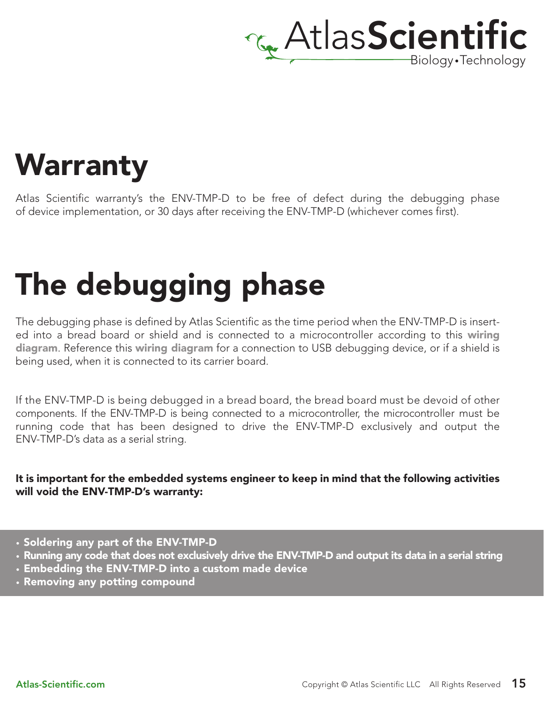

## **Warranty**

Atlas Scientific warranty's the ENV-TMP-D to be free of defect during the debugging phase of device implementation, or 30 days after receiving the ENV-TMP-D (whichever comes first).

# The debugging phase

The debugging phase is defined by Atlas Scientific as the time period when the ENV-TMP-D is inserted into a bread board or shield and is connected to a microcontroller according to this wiring diagram. Reference this wiring diagram for a connection to USB debugging device, or if a shield is being used, when it is connected to its carrier board.

If the ENV-TMP-D is being debugged in a bread board, the bread board must be devoid of other components. If the ENV-TMP-D is being connected to a microcontroller, the microcontroller must be running code that has been designed to drive the ENV-TMP-D exclusively and output the ENV-TMP-D's data as a serial string.

#### It is important for the embedded systems engineer to keep in mind that the following activities will void the ENV-TMP-D's warranty:

- Soldering any part of the ENV-TMP-D
- Running any code that does not exclusively drive the ENV-TMP-D and output its data in a serial string
- Embedding the ENV-TMP-D into a custom made device
- Removing any potting compound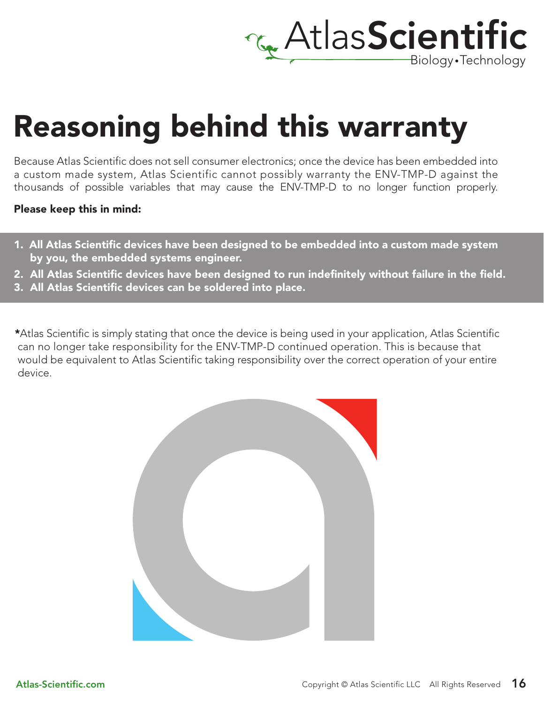

## Reasoning behind this warranty

Because Atlas Scientific does not sell consumer electronics; once the device has been embedded into a custom made system, Atlas Scientific cannot possibly warranty the ENV-TMP-D against the thousands of possible variables that may cause the ENV-TMP-D to no longer function properly.

#### Please keep this in mind:

- 1. All Atlas Scientific devices have been designed to be embedded into a custom made system by you, the embedded systems engineer.
- 2. All Atlas Scientific devices have been designed to run indefinitely without failure in the field.
- 3. All Atlas Scientific devices can be soldered into place.

\*Atlas Scientific is simply stating that once the device is being used in your application, Atlas Scientific can no longer take responsibility for the ENV-TMP-D continued operation. This is because that would be equivalent to Atlas Scientific taking responsibility over the correct operation of your entire device.